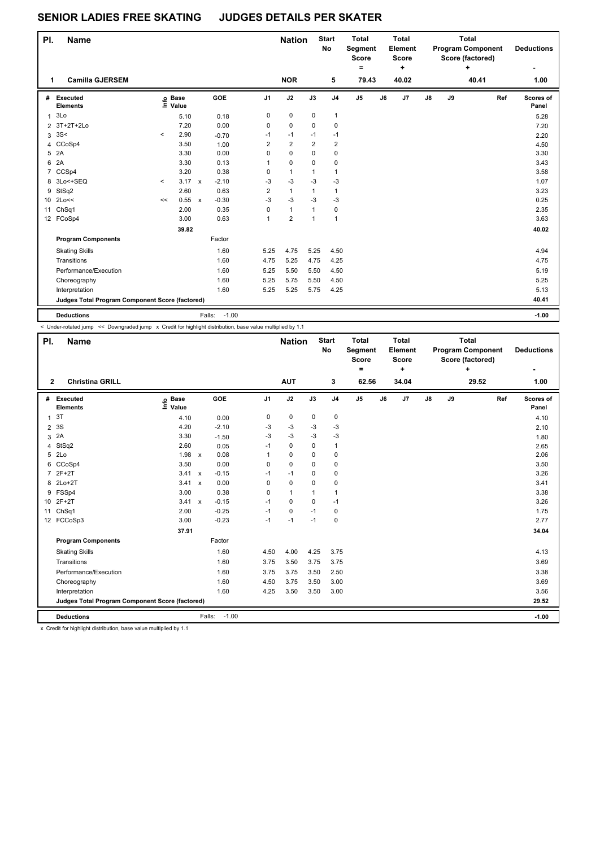## **SENIOR LADIES FREE SKATING JUDGES DETAILS PER SKATER**

| PI.            | Name                                            |          |                   |              |                   |                         | <b>Nation</b>           |                | <b>Start</b><br>No      | <b>Total</b><br>Segment<br><b>Score</b><br>$\equiv$ |    | Total<br>Element<br><b>Score</b><br>÷ |               | Total<br><b>Program Component</b><br>Score (factored) |       | <b>Deductions</b> |                    |
|----------------|-------------------------------------------------|----------|-------------------|--------------|-------------------|-------------------------|-------------------------|----------------|-------------------------|-----------------------------------------------------|----|---------------------------------------|---------------|-------------------------------------------------------|-------|-------------------|--------------------|
| 1              | <b>Camilla GJERSEM</b>                          |          |                   |              |                   |                         | <b>NOR</b>              |                | 5                       | 79.43                                               |    | 40.02                                 |               |                                                       | 40.41 |                   | 1.00               |
| #              | <b>Executed</b><br><b>Elements</b>              |          | e Base<br>⊆ Value |              | GOE               | J <sub>1</sub>          | J2                      | J3             | J <sub>4</sub>          | J <sub>5</sub>                                      | J6 | J <sub>7</sub>                        | $\mathsf{J}8$ | J9                                                    |       | Ref               | Scores of<br>Panel |
| 1              | 3Lo                                             |          | 5.10              |              | 0.18              | 0                       | $\pmb{0}$               | 0              | 1                       |                                                     |    |                                       |               |                                                       |       |                   | 5.28               |
|                | 2 3T+2T+2Lo                                     |          | 7.20              |              | 0.00              | 0                       | 0                       | 0              | 0                       |                                                     |    |                                       |               |                                                       |       |                   | 7.20               |
| 3              | 3S<                                             | $\hat{}$ | 2.90              |              | $-0.70$           | $-1$                    | $-1$                    | $-1$           | $-1$                    |                                                     |    |                                       |               |                                                       |       |                   | 2.20               |
|                | 4 CCoSp4                                        |          | 3.50              |              | 1.00              | $\overline{2}$          | $\overline{\mathbf{c}}$ | $\overline{2}$ | $\overline{\mathbf{c}}$ |                                                     |    |                                       |               |                                                       |       |                   | 4.50               |
| 5              | 2A                                              |          | 3.30              |              | 0.00              | 0                       | 0                       | 0              | $\mathbf 0$             |                                                     |    |                                       |               |                                                       |       |                   | 3.30               |
| 6              | 2A                                              |          | 3.30              |              | 0.13              | 1                       | 0                       | 0              | 0                       |                                                     |    |                                       |               |                                                       |       |                   | 3.43               |
| $\overline{7}$ | CCSp4                                           |          | 3.20              |              | 0.38              | 0                       | $\mathbf{1}$            | 1              | 1                       |                                                     |    |                                       |               |                                                       |       |                   | 3.58               |
| 8              | 3Lo<+SEQ                                        | $\prec$  | 3.17              | $\mathsf{x}$ | $-2.10$           | $-3$                    | $-3$                    | $-3$           | $-3$                    |                                                     |    |                                       |               |                                                       |       |                   | 1.07               |
| 9              | StSq2                                           |          | 2.60              |              | 0.63              | $\overline{\mathbf{c}}$ | $\mathbf{1}$            | 1              | 1                       |                                                     |    |                                       |               |                                                       |       |                   | 3.23               |
|                | 10 2Lo<<                                        | <<       | 0.55              | $\mathsf{x}$ | $-0.30$           | $-3$                    | $-3$                    | $-3$           | $-3$                    |                                                     |    |                                       |               |                                                       |       |                   | 0.25               |
| 11             | Ch <sub>Sq1</sub>                               |          | 2.00              |              | 0.35              | 0                       | $\mathbf{1}$            | 1              | 0                       |                                                     |    |                                       |               |                                                       |       |                   | 2.35               |
|                | 12 FCoSp4                                       |          | 3.00              |              | 0.63              | 1                       | $\overline{\mathbf{c}}$ | $\mathbf{1}$   | $\mathbf{1}$            |                                                     |    |                                       |               |                                                       |       |                   | 3.63               |
|                |                                                 |          | 39.82             |              |                   |                         |                         |                |                         |                                                     |    |                                       |               |                                                       |       |                   | 40.02              |
|                | <b>Program Components</b>                       |          |                   |              | Factor            |                         |                         |                |                         |                                                     |    |                                       |               |                                                       |       |                   |                    |
|                | <b>Skating Skills</b>                           |          |                   |              | 1.60              | 5.25                    | 4.75                    | 5.25           | 4.50                    |                                                     |    |                                       |               |                                                       |       |                   | 4.94               |
|                | Transitions                                     |          |                   |              | 1.60              | 4.75                    | 5.25                    | 4.75           | 4.25                    |                                                     |    |                                       |               |                                                       |       |                   | 4.75               |
|                | Performance/Execution                           |          |                   |              | 1.60              | 5.25                    | 5.50                    | 5.50           | 4.50                    |                                                     |    |                                       |               |                                                       |       |                   | 5.19               |
|                | Choreography                                    |          |                   |              | 1.60              | 5.25                    | 5.75                    | 5.50           | 4.50                    |                                                     |    |                                       |               |                                                       |       |                   | 5.25               |
|                | Interpretation                                  |          |                   |              | 1.60              | 5.25                    | 5.25                    | 5.75           | 4.25                    |                                                     |    |                                       |               |                                                       |       |                   | 5.13               |
|                | Judges Total Program Component Score (factored) |          |                   |              |                   |                         |                         |                |                         |                                                     |    |                                       |               |                                                       |       |                   | 40.41              |
|                | <b>Deductions</b>                               |          |                   |              | $-1.00$<br>Falls: |                         |                         |                |                         |                                                     |    |                                       |               |                                                       |       |                   | $-1.00$            |

< Under-rotated jump << Downgraded jump x Credit for highlight distribution, base value multiplied by 1.1

| PI.            | <b>Name</b>                                     |                   |              | <b>Nation</b> |          | <b>Start</b><br><b>No</b> | <b>Total</b><br><b>Segment</b><br><b>Score</b><br>$=$ | <b>Total</b><br>Element<br><b>Score</b><br>٠ |                | <b>Program Component</b><br>Score (factored)<br>÷ |                | <b>Total</b> |    | <b>Deductions</b> |       |                    |
|----------------|-------------------------------------------------|-------------------|--------------|---------------|----------|---------------------------|-------------------------------------------------------|----------------------------------------------|----------------|---------------------------------------------------|----------------|--------------|----|-------------------|-------|--------------------|
| $\overline{2}$ | <b>Christina GRILL</b>                          |                   |              |               |          | <b>AUT</b>                |                                                       | 3                                            | 62.56          |                                                   | 34.04          |              |    | 29.52             |       | 1.00               |
|                | # Executed<br><b>Elements</b>                   | e Base<br>⊑ Value |              | GOE           | J1       | J2                        | J3                                                    | J <sub>4</sub>                               | J <sub>5</sub> | J6                                                | J <sub>7</sub> | J8           | J9 |                   | Ref   | Scores of<br>Panel |
| 1              | 3T                                              | 4.10              |              | 0.00          | 0        | 0                         | $\mathbf 0$                                           | 0                                            |                |                                                   |                |              |    |                   |       | 4.10               |
| $\overline{2}$ | 3S                                              | 4.20              |              | $-2.10$       | -3       | $-3$                      | $-3$                                                  | $-3$                                         |                |                                                   |                |              |    |                   |       | 2.10               |
| 3              | 2A                                              | 3.30              |              | $-1.50$       | $-3$     | $-3$                      | $-3$                                                  | -3                                           |                |                                                   |                |              |    |                   |       | 1.80               |
| 4              | StSq2                                           | 2.60              |              | 0.05          | $-1$     | $\mathbf 0$               | 0                                                     | $\mathbf{1}$                                 |                |                                                   |                |              |    |                   |       | 2.65               |
| 5              | 2Lo                                             | 1.98              | $\mathsf{x}$ | 0.08          |          | $\Omega$                  | $\Omega$                                              | 0                                            |                |                                                   |                |              |    |                   |       | 2.06               |
| 6              | CCoSp4                                          | 3.50              |              | 0.00          | 0        | 0                         | $\Omega$                                              | 0                                            |                |                                                   |                |              |    |                   |       | 3.50               |
| $\overline{7}$ | $2F+2T$                                         | 3.41 x            |              | $-0.15$       | $-1$     | $-1$                      | 0                                                     | 0                                            |                |                                                   |                |              |    |                   |       | 3.26               |
| 8              | $2Lo+2T$                                        | 3.41 x            |              | 0.00          | $\Omega$ | $\Omega$                  | 0                                                     | 0                                            |                |                                                   |                |              |    |                   |       | 3.41               |
| 9              | FSSp4                                           | 3.00              |              | 0.38          | $\Omega$ | $\mathbf{1}$              |                                                       | $\mathbf{1}$                                 |                |                                                   |                |              |    |                   |       | 3.38               |
|                | 10 2F+2T                                        | 3.41 x            |              | $-0.15$       | $-1$     | $\Omega$                  | 0                                                     | $-1$                                         |                |                                                   |                |              |    |                   |       | 3.26               |
| 11             | Ch <sub>Sq1</sub>                               | 2.00              |              | $-0.25$       | $-1$     | $\mathbf 0$               | $-1$                                                  | 0                                            |                |                                                   |                |              |    |                   |       | 1.75               |
|                | 12 FCCoSp3                                      | 3.00              |              | $-0.23$       | $-1$     | $-1$                      | $-1$                                                  | 0                                            |                |                                                   |                |              |    |                   |       | 2.77               |
|                |                                                 | 37.91             |              |               |          |                           |                                                       |                                              |                |                                                   |                |              |    |                   |       | 34.04              |
|                | <b>Program Components</b>                       |                   |              | Factor        |          |                           |                                                       |                                              |                |                                                   |                |              |    |                   |       |                    |
|                | <b>Skating Skills</b>                           |                   |              | 1.60          | 4.50     | 4.00                      | 4.25                                                  | 3.75                                         |                |                                                   |                |              |    |                   |       | 4.13               |
|                | Transitions                                     |                   |              | 1.60          | 3.75     | 3.50                      | 3.75                                                  | 3.75                                         |                |                                                   |                |              |    |                   |       | 3.69               |
|                | Performance/Execution                           |                   |              | 1.60          | 3.75     | 3.75                      | 3.50                                                  | 2.50                                         |                |                                                   |                |              |    |                   |       | 3.38               |
|                | Choreography                                    |                   |              | 1.60          | 4.50     | 3.75                      | 3.50                                                  | 3.00                                         |                |                                                   |                |              |    |                   |       | 3.69               |
|                | Interpretation                                  |                   |              | 1.60          | 4.25     | 3.50                      | 3.50                                                  | 3.00                                         |                |                                                   |                |              |    |                   |       | 3.56               |
|                | Judges Total Program Component Score (factored) |                   |              |               |          |                           |                                                       |                                              |                |                                                   |                |              |    |                   | 29.52 |                    |
|                | <b>Deductions</b>                               |                   | Falls:       | $-1.00$       |          |                           |                                                       |                                              |                |                                                   |                |              |    |                   |       | $-1.00$            |

x Credit for highlight distribution, base value multiplied by 1.1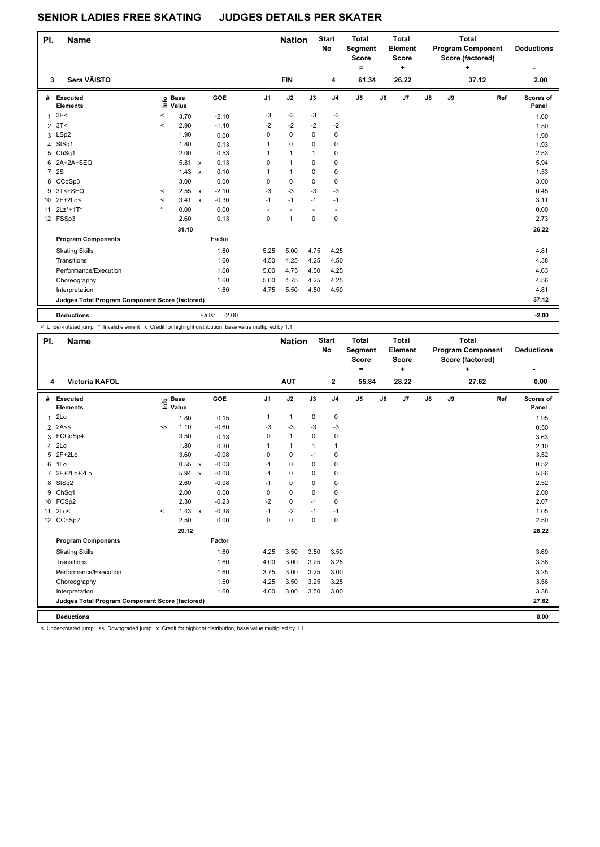## **SENIOR LADIES FREE SKATING JUDGES DETAILS PER SKATER**

| PI.            | <b>Name</b>                                     |         |                            | <b>Nation</b> |                   | <b>Start</b><br><b>No</b> | <b>Total</b><br>Segment<br><b>Score</b><br>۰ |      | <b>Total</b><br>Element<br><b>Score</b><br>٠ | <b>Total</b><br><b>Program Component</b><br>Score (factored)<br>٠ |    |                |    | <b>Deductions</b> |       |     |                    |
|----------------|-------------------------------------------------|---------|----------------------------|---------------|-------------------|---------------------------|----------------------------------------------|------|----------------------------------------------|-------------------------------------------------------------------|----|----------------|----|-------------------|-------|-----|--------------------|
| 3              | Sera VÄISTO                                     |         |                            |               |                   |                           | <b>FIN</b>                                   |      | 4                                            | 61.34                                                             |    | 26.22          |    |                   | 37.12 |     | 2.00               |
| #              | Executed<br><b>Elements</b>                     |         | e Base<br>E Value<br>Value |               | GOE               | J <sub>1</sub>            | J2                                           | J3   | J <sub>4</sub>                               | J <sub>5</sub>                                                    | J6 | J <sub>7</sub> | J8 | J9                |       | Ref | Scores of<br>Panel |
| $\mathbf{1}$   | 3F<                                             | <       | 3.70                       |               | $-2.10$           | $-3$                      | $-3$                                         | $-3$ | $-3$                                         |                                                                   |    |                |    |                   |       |     | 1.60               |
| $\overline{2}$ | 3T<                                             | $\prec$ | 2.90                       |               | $-1.40$           | $-2$                      | $-2$                                         | $-2$ | $-2$                                         |                                                                   |    |                |    |                   |       |     | 1.50               |
| 3              | LSp2                                            |         | 1.90                       |               | 0.00              | 0                         | $\mathbf 0$                                  | 0    | 0                                            |                                                                   |    |                |    |                   |       |     | 1.90               |
| 4              | StSq1                                           |         | 1.80                       |               | 0.13              | 1                         | 0                                            | 0    | 0                                            |                                                                   |    |                |    |                   |       |     | 1.93               |
|                | 5 ChSq1                                         |         | 2.00                       |               | 0.53              | 1                         | $\mathbf{1}$                                 | 1    | 0                                            |                                                                   |    |                |    |                   |       |     | 2.53               |
| 6              | 2A+2A+SEQ                                       |         | 5.81                       | $\mathsf{x}$  | 0.13              | 0                         | $\mathbf{1}$                                 | 0    | 0                                            |                                                                   |    |                |    |                   |       |     | 5.94               |
| $\overline{7}$ | 2S                                              |         | 1.43                       | $\mathsf{x}$  | 0.10              | 1                         | $\mathbf{1}$                                 | 0    | 0                                            |                                                                   |    |                |    |                   |       |     | 1.53               |
|                | 8 CCoSp3                                        |         | 3.00                       |               | 0.00              | 0                         | $\mathbf 0$                                  | 0    | 0                                            |                                                                   |    |                |    |                   |       |     | 3.00               |
| 9              | 3T<+SEQ                                         | $\prec$ | 2.55                       | $\mathsf{x}$  | $-2.10$           | $-3$                      | $-3$                                         | $-3$ | $-3$                                         |                                                                   |    |                |    |                   |       |     | 0.45               |
|                | 10 2F+2Lo<                                      | $\,<\,$ | 3.41                       | $\pmb{\chi}$  | $-0.30$           | $-1$                      | $-1$                                         | $-1$ | $-1$                                         |                                                                   |    |                |    |                   |       |     | 3.11               |
|                | 11 2Lz*+1T*                                     | $\star$ | 0.00                       |               | 0.00              |                           |                                              |      |                                              |                                                                   |    |                |    |                   |       |     | 0.00               |
|                | 12 FSSp3                                        |         | 2.60                       |               | 0.13              | 0                         | 1                                            | 0    | $\mathbf 0$                                  |                                                                   |    |                |    |                   |       |     | 2.73               |
|                |                                                 |         | 31.10                      |               |                   |                           |                                              |      |                                              |                                                                   |    |                |    |                   |       |     | 26.22              |
|                | <b>Program Components</b>                       |         |                            |               | Factor            |                           |                                              |      |                                              |                                                                   |    |                |    |                   |       |     |                    |
|                | <b>Skating Skills</b>                           |         |                            |               | 1.60              | 5.25                      | 5.00                                         | 4.75 | 4.25                                         |                                                                   |    |                |    |                   |       |     | 4.81               |
|                | Transitions                                     |         |                            |               | 1.60              | 4.50                      | 4.25                                         | 4.25 | 4.50                                         |                                                                   |    |                |    |                   |       |     | 4.38               |
|                | Performance/Execution                           |         |                            |               | 1.60              | 5.00                      | 4.75                                         | 4.50 | 4.25                                         |                                                                   |    |                |    |                   |       |     | 4.63               |
|                | Choreography                                    |         |                            |               | 1.60              | 5.00                      | 4.75                                         | 4.25 | 4.25                                         |                                                                   |    |                |    |                   |       |     | 4.56               |
|                | Interpretation                                  |         |                            |               | 1.60              | 4.75                      | 5.50                                         | 4.50 | 4.50                                         |                                                                   |    |                |    |                   |       |     | 4.81               |
|                | Judges Total Program Component Score (factored) |         |                            |               |                   |                           |                                              |      |                                              |                                                                   |    |                |    |                   |       |     | 37.12              |
|                | <b>Deductions</b>                               |         |                            |               | $-2.00$<br>Falls: |                           |                                              |      |                                              |                                                                   |    |                |    |                   |       |     | $-2.00$            |

< Under-rotated jump \* Invalid element x Credit for highlight distribution, base value multiplied by 1.1

| PI.<br><b>Name</b> |                                                 |         |                            |                           |         |                | <b>Start</b><br><b>Nation</b><br><b>No</b> |              | <b>Total</b><br>Segment<br><b>Score</b><br>۰ |                | <b>Total</b><br>Element<br><b>Score</b><br>÷ |                | <b>Total</b><br><b>Program Component</b><br>Score (factored) | <b>Deductions</b> |       |     |                    |
|--------------------|-------------------------------------------------|---------|----------------------------|---------------------------|---------|----------------|--------------------------------------------|--------------|----------------------------------------------|----------------|----------------------------------------------|----------------|--------------------------------------------------------------|-------------------|-------|-----|--------------------|
| 4                  | <b>Victoria KAFOL</b>                           |         |                            |                           |         |                | <b>AUT</b>                                 |              | $\mathbf{2}$                                 | 55.84          |                                              | 28.22          |                                                              |                   | 27.62 |     | 0.00               |
| #                  | Executed<br><b>Elements</b>                     |         | e Base<br>E Value<br>Value |                           | GOE     | J <sub>1</sub> | J2                                         | J3           | J <sub>4</sub>                               | J <sub>5</sub> | J6                                           | J <sub>7</sub> | J8                                                           | J9                |       | Ref | Scores of<br>Panel |
| $\mathbf{1}$       | 2Lo                                             |         | 1.80                       |                           | 0.15    | $\mathbf{1}$   | $\mathbf{1}$                               | $\mathbf 0$  | $\mathbf 0$                                  |                |                                              |                |                                                              |                   |       |     | 1.95               |
|                    | $2$ 2A <<                                       | <<      | 1.10                       |                           | $-0.60$ | $-3$           | $-3$                                       | $-3$         | $-3$                                         |                |                                              |                |                                                              |                   |       |     | 0.50               |
|                    | 3 FCCoSp4                                       |         | 3.50                       |                           | 0.13    | 0              | $\mathbf{1}$                               | $\mathbf 0$  | $\mathbf 0$                                  |                |                                              |                |                                                              |                   |       |     | 3.63               |
| 4                  | 2Lo                                             |         | 1.80                       |                           | 0.30    | 1              | $\mathbf{1}$                               | $\mathbf{1}$ | $\mathbf{1}$                                 |                |                                              |                |                                                              |                   |       |     | 2.10               |
| 5                  | $2F+2Lo$                                        |         | 3.60                       |                           | $-0.08$ | 0              | 0                                          | $-1$         | 0                                            |                |                                              |                |                                                              |                   |       |     | 3.52               |
| 6                  | 1Lo                                             |         | 0.55                       | $\boldsymbol{\mathsf{x}}$ | $-0.03$ | $-1$           | 0                                          | $\mathbf 0$  | $\mathbf 0$                                  |                |                                              |                |                                                              |                   |       |     | 0.52               |
| $\overline{7}$     | 2F+2Lo+2Lo                                      |         | 5.94                       | $\mathsf{x}$              | $-0.08$ | $-1$           | $\mathbf 0$                                | 0            | $\mathbf 0$                                  |                |                                              |                |                                                              |                   |       |     | 5.86               |
| 8                  | StSq2                                           |         | 2.60                       |                           | $-0.08$ | $-1$           | 0                                          | 0            | $\mathbf 0$                                  |                |                                              |                |                                                              |                   |       |     | 2.52               |
| 9                  | ChSq1                                           |         | 2.00                       |                           | 0.00    | 0              | 0                                          | $\Omega$     | $\mathbf 0$                                  |                |                                              |                |                                                              |                   |       |     | 2.00               |
| 10                 | FCSp2                                           |         | 2.30                       |                           | $-0.23$ | $-2$           | $\mathbf 0$                                | $-1$         | 0                                            |                |                                              |                |                                                              |                   |       |     | 2.07               |
| 11                 | 2Lo<                                            | $\prec$ | 1.43                       | $\boldsymbol{\mathsf{x}}$ | $-0.38$ | $-1$           | $-2$                                       | $-1$         | $-1$                                         |                |                                              |                |                                                              |                   |       |     | 1.05               |
|                    | 12 CCoSp2                                       |         | 2.50                       |                           | 0.00    | $\Omega$       | $\Omega$                                   | $\Omega$     | $\mathbf 0$                                  |                |                                              |                |                                                              |                   |       |     | 2.50               |
|                    |                                                 |         | 29.12                      |                           |         |                |                                            |              |                                              |                |                                              |                |                                                              |                   |       |     | 28.22              |
|                    | <b>Program Components</b>                       |         |                            |                           | Factor  |                |                                            |              |                                              |                |                                              |                |                                                              |                   |       |     |                    |
|                    | <b>Skating Skills</b>                           |         |                            |                           | 1.60    | 4.25           | 3.50                                       | 3.50         | 3.50                                         |                |                                              |                |                                                              |                   |       |     | 3.69               |
|                    | Transitions                                     |         |                            |                           | 1.60    | 4.00           | 3.00                                       | 3.25         | 3.25                                         |                |                                              |                |                                                              |                   |       |     | 3.38               |
|                    | Performance/Execution                           |         |                            |                           | 1.60    | 3.75           | 3.00                                       | 3.25         | 3.00                                         |                |                                              |                |                                                              |                   |       |     | 3.25               |
|                    | Choreography                                    |         |                            |                           | 1.60    | 4.25           | 3.50                                       | 3.25         | 3.25                                         |                |                                              |                |                                                              |                   |       |     | 3.56               |
|                    | Interpretation                                  |         |                            |                           | 1.60    | 4.00           | 3.00                                       | 3.50         | 3.00                                         |                |                                              |                |                                                              |                   |       |     | 3.38               |
|                    | Judges Total Program Component Score (factored) |         |                            |                           |         |                |                                            |              |                                              |                |                                              |                |                                                              |                   |       |     | 27.62              |
|                    | <b>Deductions</b>                               |         |                            |                           |         |                |                                            |              |                                              |                |                                              |                |                                                              |                   |       |     | 0.00               |

< Under-rotated jump << Downgraded jump x Credit for highlight distribution, base value multiplied by 1.1